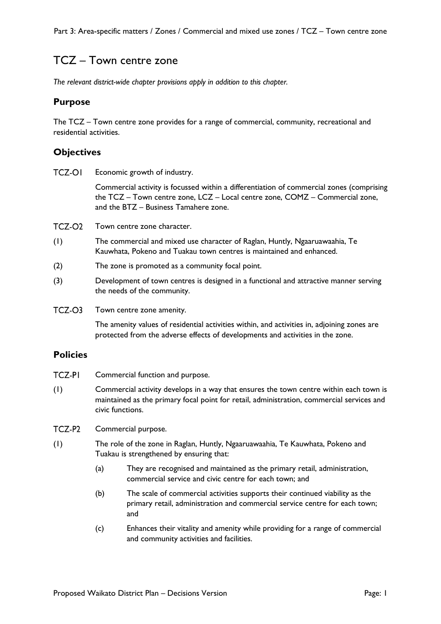# TCZ – Town centre zone

*The relevant district-wide chapter provisions apply in addition to this chapter.*

### **Purpose**

The TCZ – Town centre zone provides for a range of commercial, community, recreational and residential activities.

### **Objectives**

TCZ-OI Economic growth of industry.

> Commercial activity is focussed within a differentiation of commercial zones (comprising the TCZ – Town centre zone, LCZ – Local centre zone, COMZ – Commercial zone, and the BTZ – Business Tamahere zone.

 $TCZ-O2$ Town centre zone character.

- (1) The commercial and mixed use character of Raglan, Huntly, Ngaaruawaahia, Te Kauwhata, Pokeno and Tuakau town centres is maintained and enhanced.
- (2) The zone is promoted as a community focal point.
- (3) Development of town centres is designed in a functional and attractive manner serving the needs of the community.
- TCZ-O3 Town centre zone amenity.

The amenity values of residential activities within, and activities in, adjoining zones are protected from the adverse effects of developments and activities in the zone.

### **Policies**

- **TCZ-PI** Commercial function and purpose.
- (1) Commercial activity develops in a way that ensures the town centre within each town is maintained as the primary focal point for retail, administration, commercial services and civic functions.
- TCZ-P2 Commercial purpose.
- (1) The role of the zone in Raglan, Huntly, Ngaaruawaahia, Te Kauwhata, Pokeno and Tuakau is strengthened by ensuring that:
	- (a) They are recognised and maintained as the primary retail, administration, commercial service and civic centre for each town; and
	- (b) The scale of commercial activities supports their continued viability as the primary retail, administration and commercial service centre for each town; and
	- (c) Enhances their vitality and amenity while providing for a range of commercial and community activities and facilities.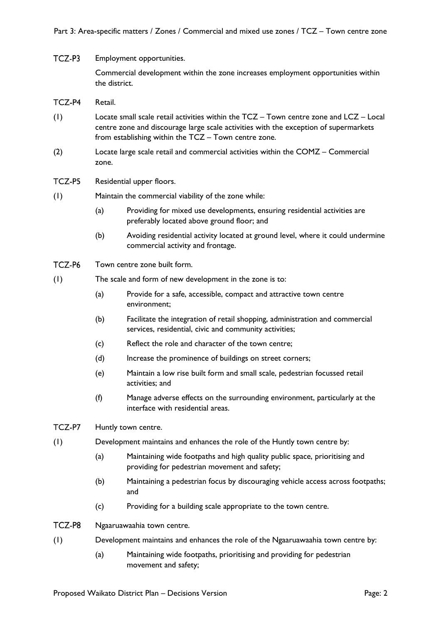#### TCZ-P3 Employment opportunities.

Commercial development within the zone increases employment opportunities within the district.

#### TCZ-P4 Retail.

- (1) Locate small scale retail activities within the TCZ Town centre zone and LCZ Local centre zone and discourage large scale activities with the exception of supermarkets from establishing within the TCZ – Town centre zone.
- (2) Locate large scale retail and commercial activities within the COMZ Commercial zone.

#### TCZ-P5 Residential upper floors.

### (1) Maintain the commercial viability of the zone while:

- (a) Providing for mixed use developments, ensuring residential activities are preferably located above ground floor; and
- (b) Avoiding residential activity located at ground level, where it could undermine commercial activity and frontage.
- TCZ-P6 Town centre zone built form.
- (1) The scale and form of new development in the zone is to:
	- (a) Provide for a safe, accessible, compact and attractive town centre environment;
	- (b) Facilitate the integration of retail shopping, administration and commercial services, residential, civic and community activities;
	- (c) Reflect the role and character of the town centre;
	- (d) Increase the prominence of buildings on street corners;
	- (e) Maintain a low rise built form and small scale, pedestrian focussed retail activities; and
	- (f) Manage adverse effects on the surrounding environment, particularly at the interface with residential areas.
- TCZ-P7 Huntly town centre.
- (1) Development maintains and enhances the role of the Huntly town centre by:
	- (a) Maintaining wide footpaths and high quality public space, prioritising and providing for pedestrian movement and safety;
	- (b) Maintaining a pedestrian focus by discouraging vehicle access across footpaths; and
	- (c) Providing for a building scale appropriate to the town centre.
- TCZ-P8 Ngaaruawaahia town centre.
- (1) Development maintains and enhances the role of the Ngaaruawaahia town centre by:
	- (a) Maintaining wide footpaths, prioritising and providing for pedestrian movement and safety;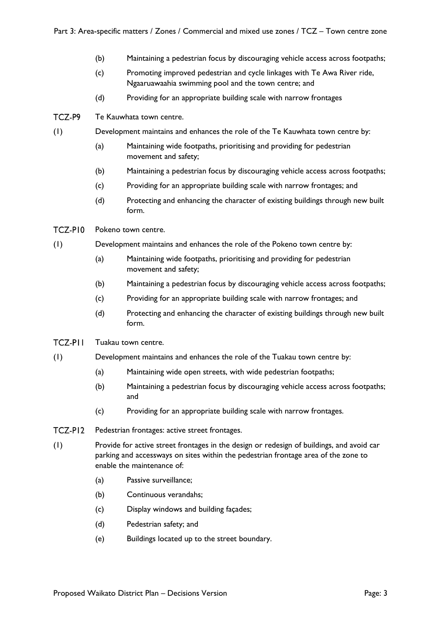- (b) Maintaining a pedestrian focus by discouraging vehicle access across footpaths;
- (c) Promoting improved pedestrian and cycle linkages with Te Awa River ride, Ngaaruawaahia swimming pool and the town centre; and
- (d) Providing for an appropriate building scale with narrow frontages
- TCZ-P9 Te Kauwhata town centre.
- (1) Development maintains and enhances the role of the Te Kauwhata town centre by:
	- (a) Maintaining wide footpaths, prioritising and providing for pedestrian movement and safety;
	- (b) Maintaining a pedestrian focus by discouraging vehicle access across footpaths;
	- (c) Providing for an appropriate building scale with narrow frontages; and
	- (d) Protecting and enhancing the character of existing buildings through new built form.
- TCZ-PI0 Pokeno town centre.
- (1) Development maintains and enhances the role of the Pokeno town centre by:
	- (a) Maintaining wide footpaths, prioritising and providing for pedestrian movement and safety;
	- (b) Maintaining a pedestrian focus by discouraging vehicle access across footpaths;
	- (c) Providing for an appropriate building scale with narrow frontages; and
	- (d) Protecting and enhancing the character of existing buildings through new built form.
- **TCZ-PII** Tuakau town centre.
- (1) Development maintains and enhances the role of the Tuakau town centre by:
	- (a) Maintaining wide open streets, with wide pedestrian footpaths;
	- (b) Maintaining a pedestrian focus by discouraging vehicle access across footpaths; and
	- (c) Providing for an appropriate building scale with narrow frontages.
- TCZ-PI2 Pedestrian frontages: active street frontages.
- (1) Provide for active street frontages in the design or redesign of buildings, and avoid car parking and accessways on sites within the pedestrian frontage area of the zone to enable the maintenance of:
	- (a) Passive surveillance;
	- (b) Continuous verandahs;
	- (c) Display windows and building façades;
	- (d) Pedestrian safety; and
	- (e) Buildings located up to the street boundary.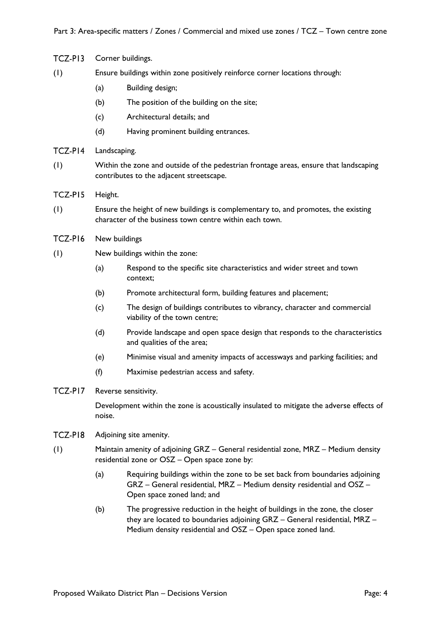| TCZ-PI3 |                                                                             | Corner buildings.                                                                                                                                                                                                        |  |
|---------|-----------------------------------------------------------------------------|--------------------------------------------------------------------------------------------------------------------------------------------------------------------------------------------------------------------------|--|
| (1)     | Ensure buildings within zone positively reinforce corner locations through: |                                                                                                                                                                                                                          |  |
|         | (a)                                                                         | Building design;                                                                                                                                                                                                         |  |
|         | (b)                                                                         | The position of the building on the site;                                                                                                                                                                                |  |
|         | (c)                                                                         | Architectural details; and                                                                                                                                                                                               |  |
|         | (d)                                                                         | Having prominent building entrances.                                                                                                                                                                                     |  |
| TCZ-PI4 | Landscaping.                                                                |                                                                                                                                                                                                                          |  |
| (1)     |                                                                             | Within the zone and outside of the pedestrian frontage areas, ensure that landscaping<br>contributes to the adjacent streetscape.                                                                                        |  |
| TCZ-PI5 | Height.                                                                     |                                                                                                                                                                                                                          |  |
| (1)     |                                                                             | Ensure the height of new buildings is complementary to, and promotes, the existing<br>character of the business town centre within each town.                                                                            |  |
| TCZ-PI6 | New buildings                                                               |                                                                                                                                                                                                                          |  |
| (1)     |                                                                             | New buildings within the zone:                                                                                                                                                                                           |  |
|         | (a)                                                                         | Respond to the specific site characteristics and wider street and town<br>context;                                                                                                                                       |  |
|         | (b)                                                                         | Promote architectural form, building features and placement;                                                                                                                                                             |  |
|         | (c)                                                                         | The design of buildings contributes to vibrancy, character and commercial<br>viability of the town centre;                                                                                                               |  |
|         | (d)                                                                         | Provide landscape and open space design that responds to the characteristics<br>and qualities of the area;                                                                                                               |  |
|         | (e)                                                                         | Minimise visual and amenity impacts of accessways and parking facilities; and                                                                                                                                            |  |
|         | (f)                                                                         | Maximise pedestrian access and safety.                                                                                                                                                                                   |  |
| TCZ-PI7 |                                                                             | Reverse sensitivity.                                                                                                                                                                                                     |  |
|         | noise.                                                                      | Development within the zone is acoustically insulated to mitigate the adverse effects of                                                                                                                                 |  |
| TCZ-PI8 |                                                                             | Adjoining site amenity.                                                                                                                                                                                                  |  |
| (1)     |                                                                             | Maintain amenity of adjoining GRZ - General residential zone, MRZ - Medium density<br>residential zone or OSZ - Open space zone by:                                                                                      |  |
|         | (a)                                                                         | Requiring buildings within the zone to be set back from boundaries adjoining<br>GRZ - General residential, MRZ - Medium density residential and OSZ -<br>Open space zoned land; and                                      |  |
|         | (b)                                                                         | The progressive reduction in the height of buildings in the zone, the closer<br>they are located to boundaries adjoining GRZ - General residential, MRZ -<br>Medium density residential and OSZ - Open space zoned land. |  |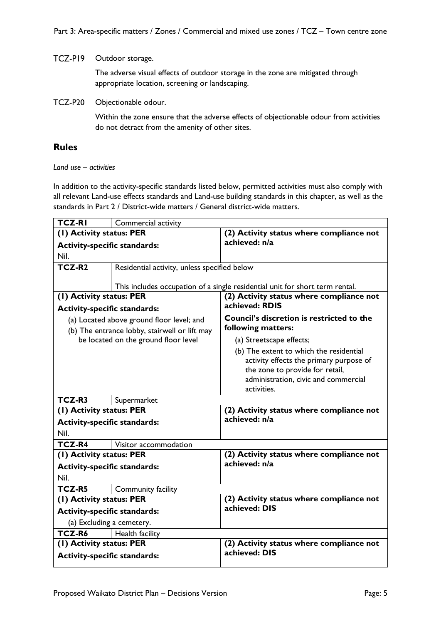### TCZ-P19 Outdoor storage.

The adverse visual effects of outdoor storage in the zone are mitigated through appropriate location, screening or landscaping.

**TCZ-P20** Objectionable odour.

> Within the zone ensure that the adverse effects of objectionable odour from activities do not detract from the amenity of other sites.

## **Rules**

### *Land use – activities*

In addition to the activity-specific standards listed below, permitted activities must also comply with all relevant Land-use effects standards and Land-use building standards in this chapter, as well as the standards in Part 2 / District-wide matters / General district-wide matters.

| <b>TCZ-RI</b>                       | Commercial activity                           |                                                                              |
|-------------------------------------|-----------------------------------------------|------------------------------------------------------------------------------|
| (1) Activity status: PER            |                                               | (2) Activity status where compliance not                                     |
| <b>Activity-specific standards:</b> |                                               | achieved: n/a                                                                |
| Nil.                                |                                               |                                                                              |
| TCZ-R <sub>2</sub>                  | Residential activity, unless specified below  |                                                                              |
|                                     |                                               |                                                                              |
|                                     |                                               | This includes occupation of a single residential unit for short term rental. |
| (1) Activity status: PER            |                                               | (2) Activity status where compliance not                                     |
| <b>Activity-specific standards:</b> |                                               | achieved: RDIS                                                               |
|                                     | (a) Located above ground floor level; and     | <b>Council's discretion is restricted to the</b>                             |
|                                     | (b) The entrance lobby, stairwell or lift may | following matters:                                                           |
|                                     | be located on the ground floor level          | (a) Streetscape effects;                                                     |
|                                     |                                               | (b) The extent to which the residential                                      |
|                                     |                                               | activity effects the primary purpose of                                      |
|                                     |                                               | the zone to provide for retail,                                              |
|                                     |                                               | administration, civic and commercial                                         |
|                                     |                                               | activities.                                                                  |
| TCZ-R3<br>Supermarket               |                                               |                                                                              |
| (I) Activity status: PER            |                                               | (2) Activity status where compliance not                                     |
| <b>Activity-specific standards:</b> |                                               | achieved: n/a                                                                |
| Nil.                                |                                               |                                                                              |
| <b>TCZ-R4</b>                       | Visitor accommodation                         |                                                                              |
| (I) Activity status: PER            |                                               | (2) Activity status where compliance not                                     |
| <b>Activity-specific standards:</b> |                                               | achieved: n/a                                                                |
| Nil.                                |                                               |                                                                              |
| <b>TCZ-R5</b>                       | Community facility                            |                                                                              |
| (1) Activity status: PER            |                                               | (2) Activity status where compliance not                                     |
| <b>Activity-specific standards:</b> |                                               | achieved: DIS                                                                |
| (a) Excluding a cemetery.           |                                               |                                                                              |
| TCZ-R6                              | Health facility                               |                                                                              |
| (I) Activity status: PER            |                                               | (2) Activity status where compliance not                                     |
| <b>Activity-specific standards:</b> |                                               | achieved: DIS                                                                |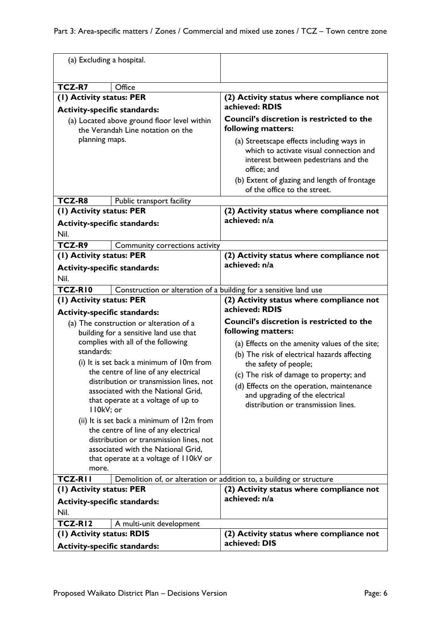| (a) Excluding a hospital.                                       |                                                                                  |                                                                                                                                             |
|-----------------------------------------------------------------|----------------------------------------------------------------------------------|---------------------------------------------------------------------------------------------------------------------------------------------|
|                                                                 |                                                                                  |                                                                                                                                             |
| TCZ-R7                                                          | Office                                                                           |                                                                                                                                             |
| (1) Activity status: PER<br><b>Activity-specific standards:</b> |                                                                                  | (2) Activity status where compliance not<br>achieved: RDIS                                                                                  |
|                                                                 | (a) Located above ground floor level within<br>the Verandah Line notation on the | <b>Council's discretion is restricted to the</b><br>following matters:                                                                      |
| planning maps.                                                  |                                                                                  | (a) Streetscape effects including ways in<br>which to activate visual connection and<br>interest between pedestrians and the<br>office; and |
|                                                                 |                                                                                  | (b) Extent of glazing and length of frontage<br>of the office to the street.                                                                |
| TCZ-R8                                                          | Public transport facility                                                        |                                                                                                                                             |
| (1) Activity status: PER                                        |                                                                                  | (2) Activity status where compliance not                                                                                                    |
| <b>Activity-specific standards:</b>                             |                                                                                  | achieved: n/a                                                                                                                               |
| Nil.                                                            |                                                                                  |                                                                                                                                             |
| TCZ-R9                                                          | Community corrections activity                                                   |                                                                                                                                             |
| (1) Activity status: PER                                        |                                                                                  | (2) Activity status where compliance not                                                                                                    |
| <b>Activity-specific standards:</b>                             |                                                                                  | achieved: n/a                                                                                                                               |
| Nil.                                                            |                                                                                  |                                                                                                                                             |
| <b>TCZ-RIO</b>                                                  | Construction or alteration of a building for a sensitive land use                |                                                                                                                                             |
| (1) Activity status: PER                                        |                                                                                  | (2) Activity status where compliance not                                                                                                    |
| <b>Activity-specific standards:</b>                             |                                                                                  | achieved: RDIS                                                                                                                              |
|                                                                 | (a) The construction or alteration of a                                          | <b>Council's discretion is restricted to the</b>                                                                                            |
|                                                                 | building for a sensitive land use that                                           | following matters:                                                                                                                          |
|                                                                 | complies with all of the following                                               | (a) Effects on the amenity values of the site;                                                                                              |
| standards:                                                      |                                                                                  | (b) The risk of electrical hazards affecting                                                                                                |
| (i) It is set back a minimum of 10m from                        |                                                                                  | the safety of people;                                                                                                                       |
|                                                                 | the centre of line of any electrical<br>distribution or transmission lines, not  | (c) The risk of damage to property; and                                                                                                     |
|                                                                 | associated with the National Grid,                                               | (d) Effects on the operation, maintenance                                                                                                   |
|                                                                 | that operate at a voltage of up to                                               | and upgrading of the electrical<br>distribution or transmission lines.                                                                      |
| II0kV; or                                                       |                                                                                  |                                                                                                                                             |
|                                                                 | (ii) It is set back a minimum of 12m from                                        |                                                                                                                                             |
|                                                                 | the centre of line of any electrical                                             |                                                                                                                                             |
| distribution or transmission lines, not                         |                                                                                  |                                                                                                                                             |
| associated with the National Grid,                              |                                                                                  |                                                                                                                                             |
| that operate at a voltage of I IOkV or<br>more.                 |                                                                                  |                                                                                                                                             |
| <b>TCZ-RII</b>                                                  |                                                                                  | Demolition of, or alteration or addition to, a building or structure                                                                        |
| (I) Activity status: PER                                        |                                                                                  | (2) Activity status where compliance not                                                                                                    |
| <b>Activity-specific standards:</b>                             |                                                                                  | achieved: n/a                                                                                                                               |
| Nil.                                                            |                                                                                  |                                                                                                                                             |
| <b>TCZ-RI2</b>                                                  | A multi-unit development                                                         |                                                                                                                                             |
| (I) Activity status: RDIS                                       |                                                                                  | (2) Activity status where compliance not                                                                                                    |
| <b>Activity-specific standards:</b>                             |                                                                                  | achieved: DIS                                                                                                                               |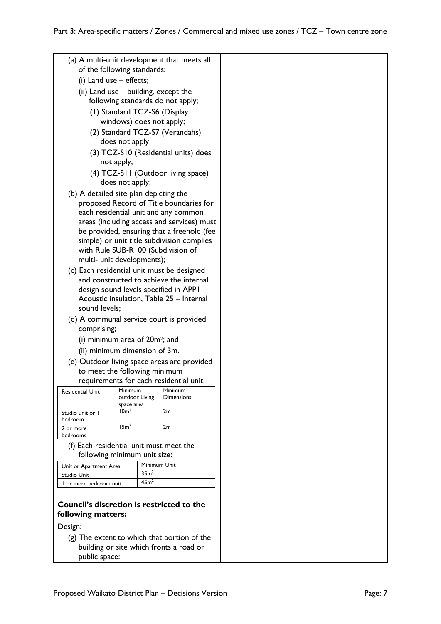| (a) A multi-unit development that meets all<br>of the following standards: |                                            |                                             |  |  |
|----------------------------------------------------------------------------|--------------------------------------------|---------------------------------------------|--|--|
| (i) Land use - effects;                                                    |                                            |                                             |  |  |
|                                                                            | (ii) Land use – building, except the       |                                             |  |  |
|                                                                            | following standards do not apply;          |                                             |  |  |
|                                                                            |                                            |                                             |  |  |
|                                                                            | (1) Standard TCZ-S6 (Display               |                                             |  |  |
|                                                                            | windows) does not apply;                   |                                             |  |  |
|                                                                            | (2) Standard TCZ-S7 (Verandahs)            |                                             |  |  |
|                                                                            | does not apply                             |                                             |  |  |
|                                                                            |                                            | (3) TCZ-S10 (Residential units) does        |  |  |
| not apply;                                                                 |                                            |                                             |  |  |
| (4) TCZ-S11 (Outdoor living space)                                         |                                            |                                             |  |  |
| does not apply;                                                            |                                            |                                             |  |  |
|                                                                            |                                            |                                             |  |  |
| (b) A detailed site plan depicting the                                     |                                            |                                             |  |  |
|                                                                            |                                            | proposed Record of Title boundaries for     |  |  |
|                                                                            |                                            | each residential unit and any common        |  |  |
|                                                                            |                                            | areas (including access and services) must  |  |  |
|                                                                            |                                            | be provided, ensuring that a freehold (fee  |  |  |
|                                                                            |                                            | simple) or unit title subdivision complies  |  |  |
|                                                                            | with Rule SUB-R100 (Subdivision of         |                                             |  |  |
| multi- unit developments);                                                 |                                            |                                             |  |  |
| (c) Each residential unit must be designed                                 |                                            |                                             |  |  |
|                                                                            |                                            | and constructed to achieve the internal     |  |  |
|                                                                            |                                            | design sound levels specified in APPI -     |  |  |
|                                                                            |                                            | Acoustic insulation, Table 25 - Internal    |  |  |
| sound levels;                                                              |                                            |                                             |  |  |
|                                                                            |                                            |                                             |  |  |
|                                                                            |                                            | (d) A communal service court is provided    |  |  |
| comprising;                                                                |                                            |                                             |  |  |
|                                                                            | (i) minimum area of 20m <sup>2</sup> ; and |                                             |  |  |
|                                                                            | (ii) minimum dimension of 3m.              |                                             |  |  |
|                                                                            |                                            | (e) Outdoor living space areas are provided |  |  |
|                                                                            | to meet the following minimum              |                                             |  |  |
|                                                                            |                                            | requirements for each residential unit:     |  |  |
| Residential Unit                                                           | Minimum                                    | Minimum                                     |  |  |
|                                                                            | outdoor Living                             | Dimensions                                  |  |  |
|                                                                            | space area                                 |                                             |  |  |
| Studio unit or 1                                                           | 10 <sup>m²</sup>                           | 2m                                          |  |  |
| bedroom<br>2 or more                                                       | 15m <sup>2</sup>                           | 2m                                          |  |  |
| bedrooms                                                                   |                                            |                                             |  |  |
| (f) Each residential unit must meet the                                    |                                            |                                             |  |  |
|                                                                            | following minimum unit size:               |                                             |  |  |
|                                                                            | Minimum Unit                               |                                             |  |  |
| Unit or Apartment Area                                                     | 35 <sup>m²</sup>                           |                                             |  |  |
| Studio Unit                                                                | 45 <sup>2</sup>                            |                                             |  |  |
| I or more bedroom unit                                                     |                                            |                                             |  |  |
| <b>Council's discretion is restricted to the</b><br>following matters:     |                                            |                                             |  |  |
| Design:                                                                    |                                            |                                             |  |  |
|                                                                            |                                            | (g) The extent to which that portion of the |  |  |
|                                                                            |                                            | building or site which fronts a road or     |  |  |
| public space:                                                              |                                            |                                             |  |  |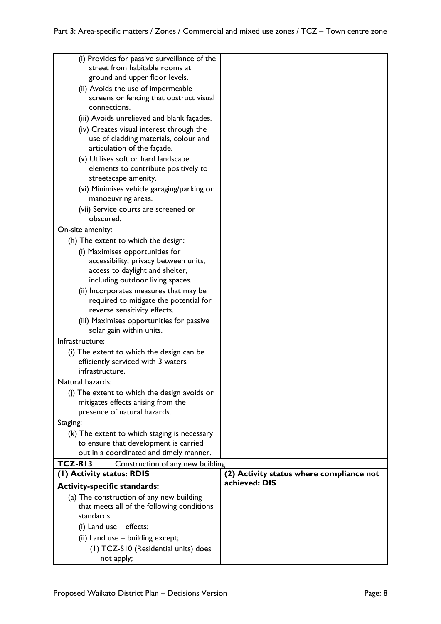| (i) Provides for passive surveillance of the                                       |                                                           |
|------------------------------------------------------------------------------------|-----------------------------------------------------------|
| street from habitable rooms at<br>ground and upper floor levels.                   |                                                           |
| (ii) Avoids the use of impermeable                                                 |                                                           |
| screens or fencing that obstruct visual                                            |                                                           |
| connections.                                                                       |                                                           |
| (iii) Avoids unrelieved and blank façades.                                         |                                                           |
| (iv) Creates visual interest through the                                           |                                                           |
| use of cladding materials, colour and<br>articulation of the façade.               |                                                           |
| (v) Utilises soft or hard landscape                                                |                                                           |
| elements to contribute positively to                                               |                                                           |
| streetscape amenity.                                                               |                                                           |
| (vi) Minimises vehicle garaging/parking or                                         |                                                           |
| manoeuvring areas.                                                                 |                                                           |
| (vii) Service courts are screened or                                               |                                                           |
| obscured.                                                                          |                                                           |
| On-site amenity:<br>(h) The extent to which the design:                            |                                                           |
| (i) Maximises opportunities for                                                    |                                                           |
| accessibility, privacy between units,                                              |                                                           |
| access to daylight and shelter,                                                    |                                                           |
| including outdoor living spaces.                                                   |                                                           |
| (ii) Incorporates measures that may be                                             |                                                           |
| required to mitigate the potential for<br>reverse sensitivity effects.             |                                                           |
| (iii) Maximises opportunities for passive                                          |                                                           |
| solar gain within units.                                                           |                                                           |
| Infrastructure:                                                                    |                                                           |
| (i) The extent to which the design can be                                          |                                                           |
| efficiently serviced with 3 waters                                                 |                                                           |
| infrastructure.                                                                    |                                                           |
| Natural hazards:                                                                   |                                                           |
| (j) The extent to which the design avoids or<br>mitigates effects arising from the |                                                           |
| presence of natural hazards.                                                       |                                                           |
| Staging:                                                                           |                                                           |
| (k) The extent to which staging is necessary                                       |                                                           |
| to ensure that development is carried                                              |                                                           |
| out in a coordinated and timely manner.                                            |                                                           |
| TCZ-RI3<br>Construction of any new building                                        |                                                           |
| (1) Activity status: RDIS                                                          | (2) Activity status where compliance not<br>achieved: DIS |
| <b>Activity-specific standards:</b><br>(a) The construction of any new building    |                                                           |
| that meets all of the following conditions                                         |                                                           |
| standards:                                                                         |                                                           |
| (i) Land use $-$ effects;                                                          |                                                           |
| (ii) Land use - building except;                                                   |                                                           |
| (1) TCZ-S10 (Residential units) does                                               |                                                           |
| not apply;                                                                         |                                                           |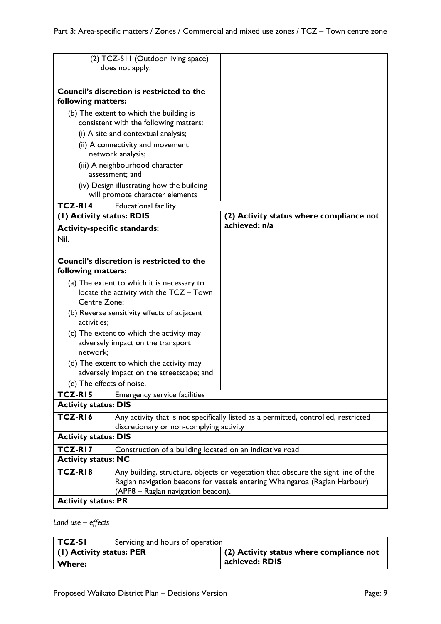| (2) TCZ-SII (Outdoor living space)<br>does not apply.                                                                                     |                                                                                   |                                                                                   |
|-------------------------------------------------------------------------------------------------------------------------------------------|-----------------------------------------------------------------------------------|-----------------------------------------------------------------------------------|
| <b>Council's discretion is restricted to the</b><br>following matters:                                                                    |                                                                                   |                                                                                   |
|                                                                                                                                           | (b) The extent to which the building is<br>consistent with the following matters: |                                                                                   |
|                                                                                                                                           | (i) A site and contextual analysis;                                               |                                                                                   |
|                                                                                                                                           | (ii) A connectivity and movement                                                  |                                                                                   |
|                                                                                                                                           | network analysis;                                                                 |                                                                                   |
|                                                                                                                                           | (iii) A neighbourhood character<br>assessment; and                                |                                                                                   |
|                                                                                                                                           | (iv) Design illustrating how the building                                         |                                                                                   |
|                                                                                                                                           | will promote character elements                                                   |                                                                                   |
| <b>TCZ-RI4</b>                                                                                                                            | <b>Educational facility</b>                                                       |                                                                                   |
| (I) Activity status: RDIS                                                                                                                 |                                                                                   | (2) Activity status where compliance not                                          |
| <b>Activity-specific standards:</b>                                                                                                       |                                                                                   | achieved: n/a                                                                     |
| Nil.                                                                                                                                      |                                                                                   |                                                                                   |
|                                                                                                                                           |                                                                                   |                                                                                   |
|                                                                                                                                           | Council's discretion is restricted to the                                         |                                                                                   |
| following matters:                                                                                                                        |                                                                                   |                                                                                   |
|                                                                                                                                           | (a) The extent to which it is necessary to                                        |                                                                                   |
| Centre Zone;                                                                                                                              | locate the activity with the TCZ - Town                                           |                                                                                   |
|                                                                                                                                           | (b) Reverse sensitivity effects of adjacent                                       |                                                                                   |
| activities:                                                                                                                               |                                                                                   |                                                                                   |
|                                                                                                                                           | (c) The extent to which the activity may                                          |                                                                                   |
| adversely impact on the transport                                                                                                         |                                                                                   |                                                                                   |
| network;                                                                                                                                  |                                                                                   |                                                                                   |
|                                                                                                                                           | (d) The extent to which the activity may                                          |                                                                                   |
| adversely impact on the streetscape; and                                                                                                  |                                                                                   |                                                                                   |
| (e) The effects of noise.                                                                                                                 |                                                                                   |                                                                                   |
| TCZ-RI5<br><b>Activity status: DIS</b>                                                                                                    | <b>Emergency service facilities</b>                                               |                                                                                   |
|                                                                                                                                           |                                                                                   |                                                                                   |
| TCZ-RI6<br>Any activity that is not specifically listed as a permitted, controlled, restricted<br>discretionary or non-complying activity |                                                                                   |                                                                                   |
| <b>Activity status: DIS</b>                                                                                                               |                                                                                   |                                                                                   |
| <b>TCZ-RI7</b><br>Construction of a building located on an indicative road                                                                |                                                                                   |                                                                                   |
| <b>Activity status: NC</b>                                                                                                                |                                                                                   |                                                                                   |
| TCZ-RI8                                                                                                                                   |                                                                                   | Any building, structure, objects or vegetation that obscure the sight line of the |
|                                                                                                                                           |                                                                                   | Raglan navigation beacons for vessels entering Whaingaroa (Raglan Harbour)        |
| (APP8 – Raglan navigation beacon).                                                                                                        |                                                                                   |                                                                                   |
| <b>Activity status: PR</b>                                                                                                                |                                                                                   |                                                                                   |

### *Land use – effects*

| TCZ-SI                           | Servicing and hours of operation |                                            |
|----------------------------------|----------------------------------|--------------------------------------------|
| $\vert$ (1) Activity status: PER |                                  | $(2)$ Activity status where compliance not |
| ∣ Where:                         |                                  | achieved: RDIS                             |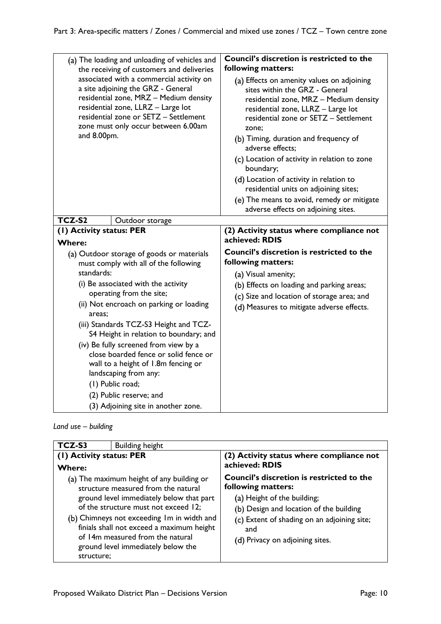| (a) The loading and unloading of vehicles and<br>the receiving of customers and deliveries                                                                                                                                                                                                                                                                                                                                                                                                                                                           | Council's discretion is restricted to the<br>following matters:                                                                                                                                                                                         |
|------------------------------------------------------------------------------------------------------------------------------------------------------------------------------------------------------------------------------------------------------------------------------------------------------------------------------------------------------------------------------------------------------------------------------------------------------------------------------------------------------------------------------------------------------|---------------------------------------------------------------------------------------------------------------------------------------------------------------------------------------------------------------------------------------------------------|
| associated with a commercial activity on<br>a site adjoining the GRZ - General<br>residential zone, MRZ - Medium density<br>residential zone, LLRZ - Large lot<br>residential zone or SETZ - Settlement<br>zone must only occur between 6.00am<br>and 8.00pm.                                                                                                                                                                                                                                                                                        | (a) Effects on amenity values on adjoining<br>sites within the GRZ - General<br>residential zone, MRZ - Medium density<br>residential zone, LLRZ - Large lot<br>residential zone or SETZ - Settlement<br>zone;<br>(b) Timing, duration and frequency of |
|                                                                                                                                                                                                                                                                                                                                                                                                                                                                                                                                                      | adverse effects:                                                                                                                                                                                                                                        |
|                                                                                                                                                                                                                                                                                                                                                                                                                                                                                                                                                      | (c) Location of activity in relation to zone<br>boundary;                                                                                                                                                                                               |
|                                                                                                                                                                                                                                                                                                                                                                                                                                                                                                                                                      | (d) Location of activity in relation to<br>residential units on adjoining sites;                                                                                                                                                                        |
|                                                                                                                                                                                                                                                                                                                                                                                                                                                                                                                                                      | (e) The means to avoid, remedy or mitigate<br>adverse effects on adjoining sites.                                                                                                                                                                       |
| TCZ-S2<br>Outdoor storage                                                                                                                                                                                                                                                                                                                                                                                                                                                                                                                            |                                                                                                                                                                                                                                                         |
| (I) Activity status: PER<br><b>Where:</b>                                                                                                                                                                                                                                                                                                                                                                                                                                                                                                            | (2) Activity status where compliance not<br>achieved: RDIS                                                                                                                                                                                              |
| (a) Outdoor storage of goods or materials<br>must comply with all of the following<br>standards:<br>(i) Be associated with the activity<br>operating from the site;<br>(ii) Not encroach on parking or loading<br>areas:<br>(iii) Standards TCZ-S3 Height and TCZ-<br>S4 Height in relation to boundary; and<br>(iv) Be fully screened from view by a<br>close boarded fence or solid fence or<br>wall to a height of 1.8m fencing or<br>landscaping from any:<br>(1) Public road;<br>(2) Public reserve; and<br>(3) Adjoining site in another zone. | Council's discretion is restricted to the<br>following matters:<br>(a) Visual amenity;<br>(b) Effects on loading and parking areas;<br>(c) Size and location of storage area; and<br>(d) Measures to mitigate adverse effects.                          |

*Land use – building*

| TCZ-S3                                    | <b>Building height</b>                                                                                                                                                                                                                                                                                                                    |                                                                                                                                                                                                                                           |
|-------------------------------------------|-------------------------------------------------------------------------------------------------------------------------------------------------------------------------------------------------------------------------------------------------------------------------------------------------------------------------------------------|-------------------------------------------------------------------------------------------------------------------------------------------------------------------------------------------------------------------------------------------|
| (1) Activity status: PER<br><b>Where:</b> |                                                                                                                                                                                                                                                                                                                                           | (2) Activity status where compliance not<br>achieved: RDIS                                                                                                                                                                                |
| structure;                                | (a) The maximum height of any building or<br>structure measured from the natural<br>ground level immediately below that part<br>of the structure must not exceed 12;<br>(b) Chimneys not exceeding Im in width and<br>finials shall not exceed a maximum height<br>of 14m measured from the natural<br>ground level immediately below the | <b>Council's discretion is restricted to the</b><br>following matters:<br>(a) Height of the building;<br>(b) Design and location of the building<br>(c) Extent of shading on an adjoining site;<br>and<br>(d) Privacy on adjoining sites. |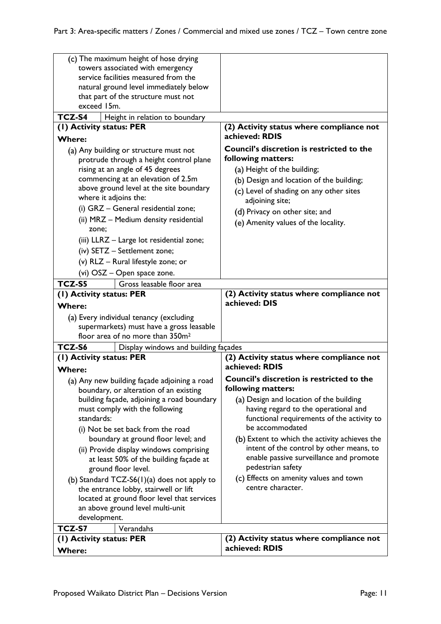| (c) The maximum height of hose drying                                                                                                                                                                                                                                                                                                                                                                                                      |                                                                                                                                                                                                                                                                                          |
|--------------------------------------------------------------------------------------------------------------------------------------------------------------------------------------------------------------------------------------------------------------------------------------------------------------------------------------------------------------------------------------------------------------------------------------------|------------------------------------------------------------------------------------------------------------------------------------------------------------------------------------------------------------------------------------------------------------------------------------------|
| towers associated with emergency                                                                                                                                                                                                                                                                                                                                                                                                           |                                                                                                                                                                                                                                                                                          |
| service facilities measured from the                                                                                                                                                                                                                                                                                                                                                                                                       |                                                                                                                                                                                                                                                                                          |
| natural ground level immediately below                                                                                                                                                                                                                                                                                                                                                                                                     |                                                                                                                                                                                                                                                                                          |
| that part of the structure must not                                                                                                                                                                                                                                                                                                                                                                                                        |                                                                                                                                                                                                                                                                                          |
| exceed 15m.                                                                                                                                                                                                                                                                                                                                                                                                                                |                                                                                                                                                                                                                                                                                          |
| <b>TCZ-S4</b><br>Height in relation to boundary                                                                                                                                                                                                                                                                                                                                                                                            |                                                                                                                                                                                                                                                                                          |
| (1) Activity status: PER                                                                                                                                                                                                                                                                                                                                                                                                                   | (2) Activity status where compliance not                                                                                                                                                                                                                                                 |
| <b>Where:</b>                                                                                                                                                                                                                                                                                                                                                                                                                              | achieved: RDIS                                                                                                                                                                                                                                                                           |
| (a) Any building or structure must not<br>protrude through a height control plane<br>rising at an angle of 45 degrees<br>commencing at an elevation of 2.5m<br>above ground level at the site boundary<br>where it adjoins the:<br>(i) GRZ - General residential zone;<br>(ii) MRZ - Medium density residential<br>zone;<br>(iii) LLRZ - Large lot residential zone;<br>(iv) SETZ - Settlement zone;<br>(v) RLZ - Rural lifestyle zone; or | <b>Council's discretion is restricted to the</b><br>following matters:<br>(a) Height of the building;<br>(b) Design and location of the building;<br>(c) Level of shading on any other sites<br>adjoining site;<br>(d) Privacy on other site; and<br>(e) Amenity values of the locality. |
| (vi) OSZ - Open space zone.                                                                                                                                                                                                                                                                                                                                                                                                                |                                                                                                                                                                                                                                                                                          |
| TCZ-S5<br>Gross leasable floor area                                                                                                                                                                                                                                                                                                                                                                                                        |                                                                                                                                                                                                                                                                                          |
| (1) Activity status: PER                                                                                                                                                                                                                                                                                                                                                                                                                   | (2) Activity status where compliance not<br>achieved: DIS                                                                                                                                                                                                                                |
| <b>Where:</b>                                                                                                                                                                                                                                                                                                                                                                                                                              |                                                                                                                                                                                                                                                                                          |
| (a) Every individual tenancy (excluding                                                                                                                                                                                                                                                                                                                                                                                                    |                                                                                                                                                                                                                                                                                          |
| supermarkets) must have a gross leasable<br>floor area of no more than 350m <sup>2</sup>                                                                                                                                                                                                                                                                                                                                                   |                                                                                                                                                                                                                                                                                          |
| TCZ-S6                                                                                                                                                                                                                                                                                                                                                                                                                                     |                                                                                                                                                                                                                                                                                          |
| Display windows and building façades<br>(1) Activity status: PER                                                                                                                                                                                                                                                                                                                                                                           | (2) Activity status where compliance not                                                                                                                                                                                                                                                 |
| <b>Where:</b>                                                                                                                                                                                                                                                                                                                                                                                                                              | achieved: RDIS                                                                                                                                                                                                                                                                           |
| (a) Any new building façade adjoining a road                                                                                                                                                                                                                                                                                                                                                                                               | Council's discretion is restricted to the                                                                                                                                                                                                                                                |
| boundary, or alteration of an existing                                                                                                                                                                                                                                                                                                                                                                                                     | following matters:                                                                                                                                                                                                                                                                       |
| building façade, adjoining a road boundary                                                                                                                                                                                                                                                                                                                                                                                                 | (a) Design and location of the building                                                                                                                                                                                                                                                  |
| must comply with the following                                                                                                                                                                                                                                                                                                                                                                                                             | having regard to the operational and                                                                                                                                                                                                                                                     |
| standards:                                                                                                                                                                                                                                                                                                                                                                                                                                 | functional requirements of the activity to                                                                                                                                                                                                                                               |
| (i) Not be set back from the road                                                                                                                                                                                                                                                                                                                                                                                                          | be accommodated                                                                                                                                                                                                                                                                          |
| boundary at ground floor level; and                                                                                                                                                                                                                                                                                                                                                                                                        | (b) Extent to which the activity achieves the                                                                                                                                                                                                                                            |
| (ii) Provide display windows comprising                                                                                                                                                                                                                                                                                                                                                                                                    | intent of the control by other means, to<br>enable passive surveillance and promote                                                                                                                                                                                                      |
| at least 50% of the building façade at                                                                                                                                                                                                                                                                                                                                                                                                     | pedestrian safety                                                                                                                                                                                                                                                                        |
| ground floor level.                                                                                                                                                                                                                                                                                                                                                                                                                        | (c) Effects on amenity values and town                                                                                                                                                                                                                                                   |
| (b) Standard TCZ-S6 $(1)(a)$ does not apply to                                                                                                                                                                                                                                                                                                                                                                                             | centre character.                                                                                                                                                                                                                                                                        |
| the entrance lobby, stairwell or lift<br>located at ground floor level that services                                                                                                                                                                                                                                                                                                                                                       |                                                                                                                                                                                                                                                                                          |
| an above ground level multi-unit                                                                                                                                                                                                                                                                                                                                                                                                           |                                                                                                                                                                                                                                                                                          |
| development.                                                                                                                                                                                                                                                                                                                                                                                                                               |                                                                                                                                                                                                                                                                                          |
| TCZ-S7<br>Verandahs                                                                                                                                                                                                                                                                                                                                                                                                                        |                                                                                                                                                                                                                                                                                          |
| (I) Activity status: PER                                                                                                                                                                                                                                                                                                                                                                                                                   | (2) Activity status where compliance not                                                                                                                                                                                                                                                 |
| <b>Where:</b>                                                                                                                                                                                                                                                                                                                                                                                                                              | achieved: RDIS                                                                                                                                                                                                                                                                           |
|                                                                                                                                                                                                                                                                                                                                                                                                                                            |                                                                                                                                                                                                                                                                                          |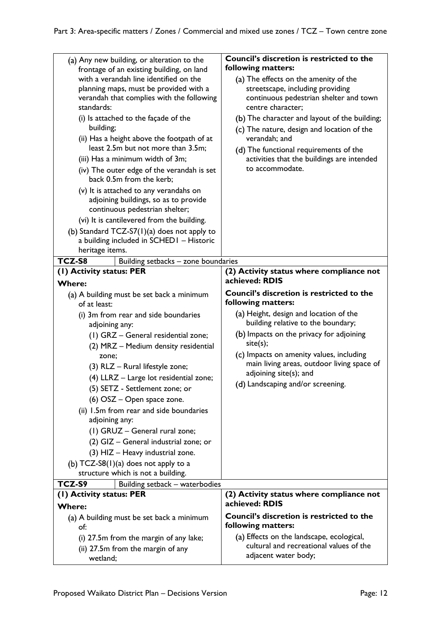| (a) Any new building, or alteration to the<br>frontage of an existing building, on land<br>with a verandah line identified on the<br>planning maps, must be provided with a<br>verandah that complies with the following<br>standards: | Council's discretion is restricted to the<br>following matters:<br>(a) The effects on the amenity of the<br>streetscape, including providing<br>continuous pedestrian shelter and town<br>centre character; |
|----------------------------------------------------------------------------------------------------------------------------------------------------------------------------------------------------------------------------------------|-------------------------------------------------------------------------------------------------------------------------------------------------------------------------------------------------------------|
| (i) Is attached to the façade of the                                                                                                                                                                                                   | (b) The character and layout of the building;                                                                                                                                                               |
| building;                                                                                                                                                                                                                              |                                                                                                                                                                                                             |
| (ii) Has a height above the footpath of at                                                                                                                                                                                             | (c) The nature, design and location of the<br>verandah; and                                                                                                                                                 |
| least 2.5m but not more than 3.5m;                                                                                                                                                                                                     |                                                                                                                                                                                                             |
| (iii) Has a minimum width of 3m;                                                                                                                                                                                                       | (d) The functional requirements of the                                                                                                                                                                      |
|                                                                                                                                                                                                                                        | activities that the buildings are intended<br>to accommodate.                                                                                                                                               |
| (iv) The outer edge of the verandah is set<br>back 0.5m from the kerb;                                                                                                                                                                 |                                                                                                                                                                                                             |
| (v) It is attached to any verandahs on<br>adjoining buildings, so as to provide<br>continuous pedestrian shelter;                                                                                                                      |                                                                                                                                                                                                             |
| (vi) It is cantilevered from the building.                                                                                                                                                                                             |                                                                                                                                                                                                             |
| (b) Standard TCZ-S7 $(1)(a)$ does not apply to                                                                                                                                                                                         |                                                                                                                                                                                                             |
| a building included in SCHED1 - Historic                                                                                                                                                                                               |                                                                                                                                                                                                             |
| heritage items.                                                                                                                                                                                                                        |                                                                                                                                                                                                             |
| TCZ-S8<br>Building setbacks - zone boundaries                                                                                                                                                                                          |                                                                                                                                                                                                             |
| (1) Activity status: PER                                                                                                                                                                                                               | (2) Activity status where compliance not                                                                                                                                                                    |
| <b>Where:</b>                                                                                                                                                                                                                          | achieved: RDIS                                                                                                                                                                                              |
| (a) A building must be set back a minimum<br>of at least:                                                                                                                                                                              | Council's discretion is restricted to the<br>following matters:                                                                                                                                             |
|                                                                                                                                                                                                                                        |                                                                                                                                                                                                             |
| (i) 3m from rear and side boundaries                                                                                                                                                                                                   | (a) Height, design and location of the                                                                                                                                                                      |
| adjoining any:                                                                                                                                                                                                                         | building relative to the boundary;                                                                                                                                                                          |
| (1) GRZ - General residential zone;                                                                                                                                                                                                    | (b) Impacts on the privacy for adjoining<br>site(s);                                                                                                                                                        |
| (2) MRZ - Medium density residential                                                                                                                                                                                                   |                                                                                                                                                                                                             |
| zone;                                                                                                                                                                                                                                  | (c) Impacts on amenity values, including<br>main living areas, outdoor living space of                                                                                                                      |
| (3) RLZ - Rural lifestyle zone;                                                                                                                                                                                                        | adjoining site(s); and                                                                                                                                                                                      |
| (4) LLRZ - Large lot residential zone;                                                                                                                                                                                                 | (d) Landscaping and/or screening.                                                                                                                                                                           |
| (5) SETZ - Settlement zone; or                                                                                                                                                                                                         |                                                                                                                                                                                                             |
| (6) OSZ – Open space zone.                                                                                                                                                                                                             |                                                                                                                                                                                                             |
| (ii) 1.5m from rear and side boundaries                                                                                                                                                                                                |                                                                                                                                                                                                             |
| adjoining any:                                                                                                                                                                                                                         |                                                                                                                                                                                                             |
| (1) GRUZ - General rural zone;                                                                                                                                                                                                         |                                                                                                                                                                                                             |
| (2) GIZ - General industrial zone; or                                                                                                                                                                                                  |                                                                                                                                                                                                             |
| (3) HIZ - Heavy industrial zone.                                                                                                                                                                                                       |                                                                                                                                                                                                             |
| (b) $TCZ-S8(1)(a)$ does not apply to a                                                                                                                                                                                                 |                                                                                                                                                                                                             |
| structure which is not a building.                                                                                                                                                                                                     |                                                                                                                                                                                                             |
| TCZ-S9<br>Building setback - waterbodies                                                                                                                                                                                               |                                                                                                                                                                                                             |
| (I) Activity status: PER                                                                                                                                                                                                               | (2) Activity status where compliance not                                                                                                                                                                    |
| <b>Where:</b>                                                                                                                                                                                                                          | achieved: RDIS                                                                                                                                                                                              |
| (a) A building must be set back a minimum<br>of:                                                                                                                                                                                       | <b>Council's discretion is restricted to the</b><br>following matters:                                                                                                                                      |
| (i) 27.5m from the margin of any lake;                                                                                                                                                                                                 | (a) Effects on the landscape, ecological,                                                                                                                                                                   |
| (ii) 27.5m from the margin of any                                                                                                                                                                                                      | cultural and recreational values of the<br>adjacent water body;                                                                                                                                             |